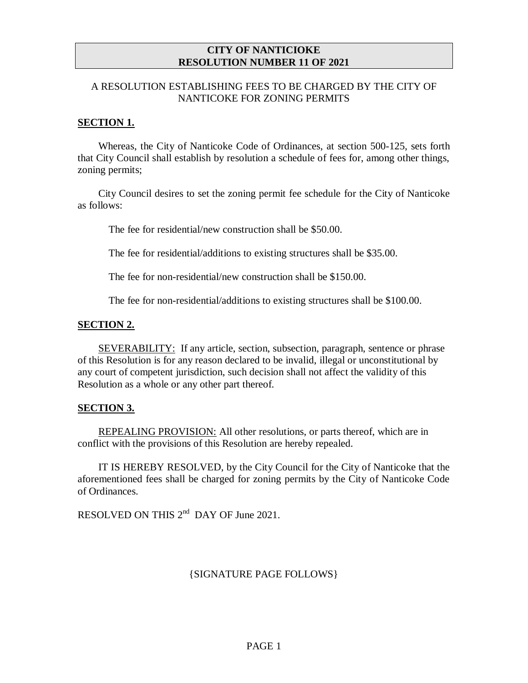### **CITY OF NANTICIOKE RESOLUTION NUMBER 11 OF 2021**

# A RESOLUTION ESTABLISHING FEES TO BE CHARGED BY THE CITY OF NANTICOKE FOR ZONING PERMITS

### **SECTION 1.**

Whereas, the City of Nanticoke Code of Ordinances, at section 500-125, sets forth that City Council shall establish by resolution a schedule of fees for, among other things, zoning permits;

City Council desires to set the zoning permit fee schedule for the City of Nanticoke as follows:

The fee for residential/new construction shall be \$50.00.

The fee for residential/additions to existing structures shall be \$35.00.

The fee for non-residential/new construction shall be \$150.00.

The fee for non-residential/additions to existing structures shall be \$100.00.

#### **SECTION 2.**

SEVERABILITY: If any article, section, subsection, paragraph, sentence or phrase of this Resolution is for any reason declared to be invalid, illegal or unconstitutional by any court of competent jurisdiction, such decision shall not affect the validity of this Resolution as a whole or any other part thereof.

# **SECTION 3.**

REPEALING PROVISION: All other resolutions, or parts thereof, which are in conflict with the provisions of this Resolution are hereby repealed.

IT IS HEREBY RESOLVED, by the City Council for the City of Nanticoke that the aforementioned fees shall be charged for zoning permits by the City of Nanticoke Code of Ordinances.

RESOLVED ON THIS  $2^{nd}$  DAY OF June 2021.

# {SIGNATURE PAGE FOLLOWS}